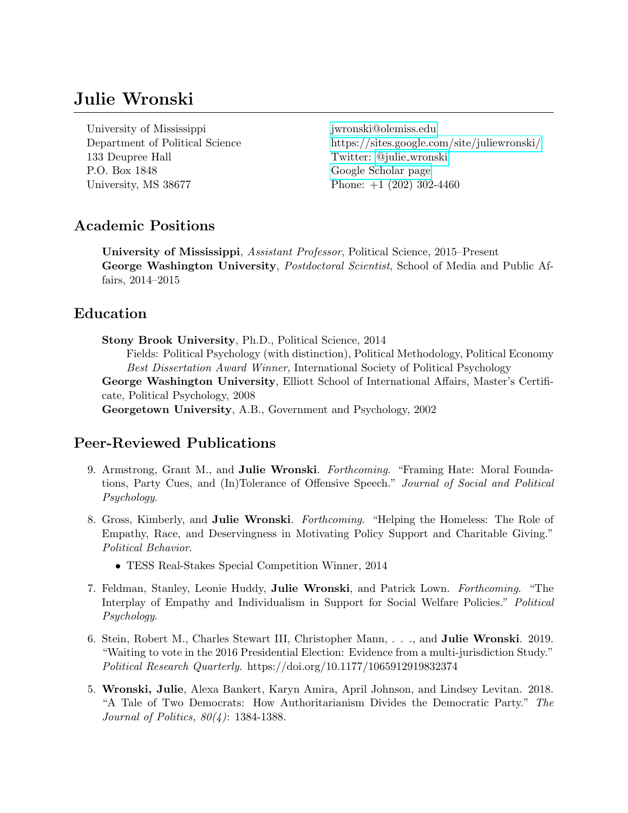# Julie Wronski

University of Mississippi [jwronski@olemiss.edu](mailto:jwronski@olemiss.edu) 133 Deupree Hall Twitter: @julie [wronski](https://twitter.com/julie_wronski) P.O. Box 1848 [Google Scholar page](https://scholar.google.com/citations?user=C8V8h0gAAAAJ) University, MS 38677 Phone: +1 (202) 302-4460

Department of Political Science<https://sites.google.com/site/juliewronski/>

# Academic Positions

University of Mississippi, Assistant Professor, Political Science, 2015–Present George Washington University, *Postdoctoral Scientist*, School of Media and Public Affairs, 2014–2015

# Education

Stony Brook University, Ph.D., Political Science, 2014 Fields: Political Psychology (with distinction), Political Methodology, Political Economy Best Dissertation Award Winner, International Society of Political Psychology George Washington University, Elliott School of International Affairs, Master's Certificate, Political Psychology, 2008 Georgetown University, A.B., Government and Psychology, 2002

# Peer-Reviewed Publications

- 9. Armstrong, Grant M., and Julie Wronski. Forthcoming. "Framing Hate: Moral Foundations, Party Cues, and (In)Tolerance of Offensive Speech." Journal of Social and Political Psychology.
- 8. Gross, Kimberly, and Julie Wronski. Forthcoming. "Helping the Homeless: The Role of Empathy, Race, and Deservingness in Motivating Policy Support and Charitable Giving." Political Behavior.
	- TESS Real-Stakes Special Competition Winner, 2014
- 7. Feldman, Stanley, Leonie Huddy, Julie Wronski, and Patrick Lown. Forthcoming. "The Interplay of Empathy and Individualism in Support for Social Welfare Policies." Political Psychology.
- 6. Stein, Robert M., Charles Stewart III, Christopher Mann, . . ., and Julie Wronski. 2019. "Waiting to vote in the 2016 Presidential Election: Evidence from a multi-jurisdiction Study." Political Research Quarterly. https://doi.org/10.1177/1065912919832374
- 5. Wronski, Julie, Alexa Bankert, Karyn Amira, April Johnson, and Lindsey Levitan. 2018. "A Tale of Two Democrats: How Authoritarianism Divides the Democratic Party." The Journal of Politics, 80(4): 1384-1388.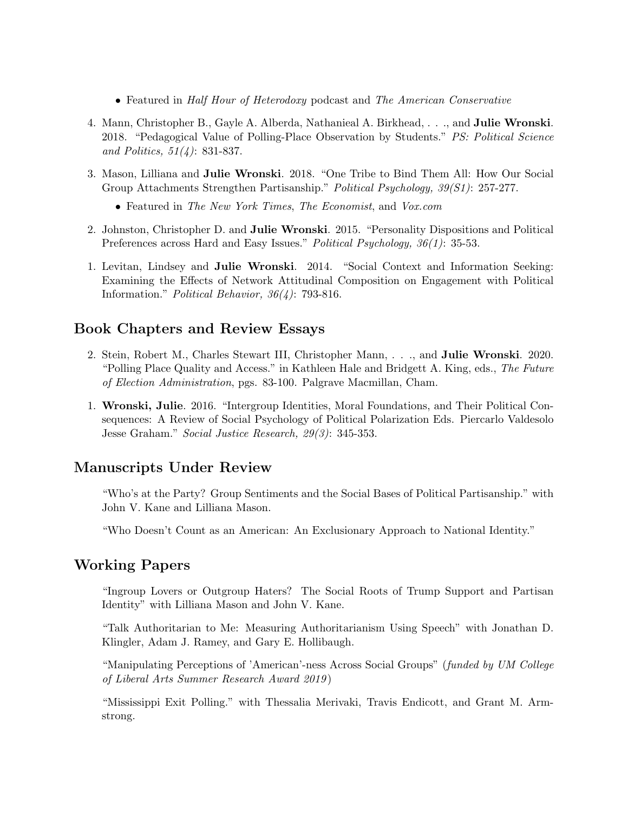- Featured in Half Hour of Heterodoxy podcast and The American Conservative
- 4. Mann, Christopher B., Gayle A. Alberda, Nathanieal A. Birkhead, . . ., and Julie Wronski. 2018. "Pedagogical Value of Polling-Place Observation by Students." PS: Political Science and Politics,  $51(4)$ : 831-837.
- 3. Mason, Lilliana and Julie Wronski. 2018. "One Tribe to Bind Them All: How Our Social Group Attachments Strengthen Partisanship." Political Psychology, 39(S1): 257-277.
	- Featured in The New York Times, The Economist, and Vox.com
- 2. Johnston, Christopher D. and Julie Wronski. 2015. "Personality Dispositions and Political Preferences across Hard and Easy Issues." Political Psychology, 36(1): 35-53.
- 1. Levitan, Lindsey and Julie Wronski. 2014. "Social Context and Information Seeking: Examining the Effects of Network Attitudinal Composition on Engagement with Political Information." Political Behavior, 36(4): 793-816.

## Book Chapters and Review Essays

- 2. Stein, Robert M., Charles Stewart III, Christopher Mann, . . ., and Julie Wronski. 2020. "Polling Place Quality and Access." in Kathleen Hale and Bridgett A. King, eds., The Future of Election Administration, pgs. 83-100. Palgrave Macmillan, Cham.
- 1. Wronski, Julie. 2016. "Intergroup Identities, Moral Foundations, and Their Political Consequences: A Review of Social Psychology of Political Polarization Eds. Piercarlo Valdesolo Jesse Graham." Social Justice Research, 29(3): 345-353.

## Manuscripts Under Review

"Who's at the Party? Group Sentiments and the Social Bases of Political Partisanship." with John V. Kane and Lilliana Mason.

"Who Doesn't Count as an American: An Exclusionary Approach to National Identity."

## Working Papers

"Ingroup Lovers or Outgroup Haters? The Social Roots of Trump Support and Partisan Identity" with Lilliana Mason and John V. Kane.

"Talk Authoritarian to Me: Measuring Authoritarianism Using Speech" with Jonathan D. Klingler, Adam J. Ramey, and Gary E. Hollibaugh.

"Manipulating Perceptions of 'American'-ness Across Social Groups" (funded by UM College of Liberal Arts Summer Research Award 2019 )

"Mississippi Exit Polling." with Thessalia Merivaki, Travis Endicott, and Grant M. Armstrong.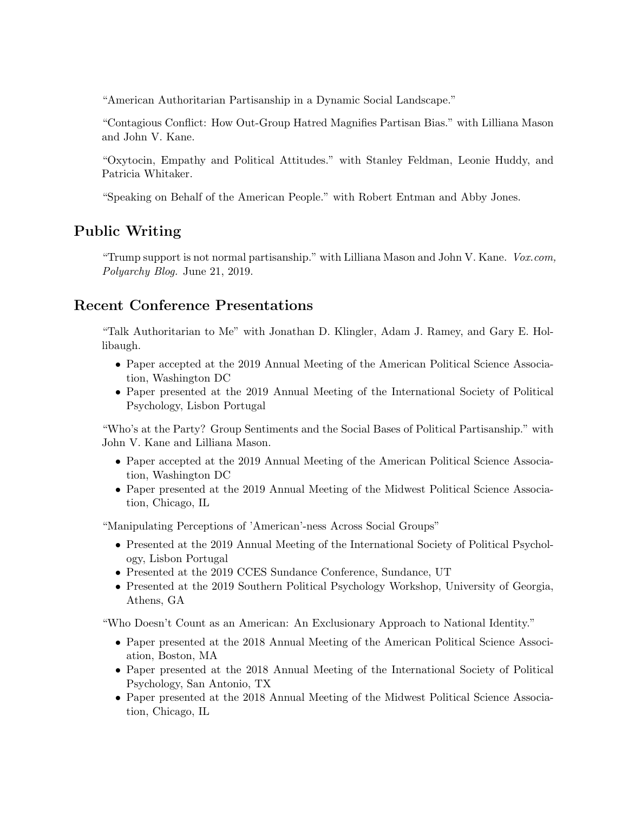"American Authoritarian Partisanship in a Dynamic Social Landscape."

"Contagious Conflict: How Out-Group Hatred Magnifies Partisan Bias." with Lilliana Mason and John V. Kane.

"Oxytocin, Empathy and Political Attitudes." with Stanley Feldman, Leonie Huddy, and Patricia Whitaker.

"Speaking on Behalf of the American People." with Robert Entman and Abby Jones.

# Public Writing

"Trump support is not normal partisanship." with Lilliana Mason and John V. Kane.  $Vox.com$ , Polyarchy Blog. June 21, 2019.

## Recent Conference Presentations

"Talk Authoritarian to Me" with Jonathan D. Klingler, Adam J. Ramey, and Gary E. Hollibaugh.

- Paper accepted at the 2019 Annual Meeting of the American Political Science Association, Washington DC
- Paper presented at the 2019 Annual Meeting of the International Society of Political Psychology, Lisbon Portugal

"Who's at the Party? Group Sentiments and the Social Bases of Political Partisanship." with John V. Kane and Lilliana Mason.

- Paper accepted at the 2019 Annual Meeting of the American Political Science Association, Washington DC
- Paper presented at the 2019 Annual Meeting of the Midwest Political Science Association, Chicago, IL

"Manipulating Perceptions of 'American'-ness Across Social Groups"

- Presented at the 2019 Annual Meeting of the International Society of Political Psychology, Lisbon Portugal
- Presented at the 2019 CCES Sundance Conference, Sundance, UT
- Presented at the 2019 Southern Political Psychology Workshop, University of Georgia, Athens, GA

"Who Doesn't Count as an American: An Exclusionary Approach to National Identity."

- Paper presented at the 2018 Annual Meeting of the American Political Science Association, Boston, MA
- Paper presented at the 2018 Annual Meeting of the International Society of Political Psychology, San Antonio, TX
- Paper presented at the 2018 Annual Meeting of the Midwest Political Science Association, Chicago, IL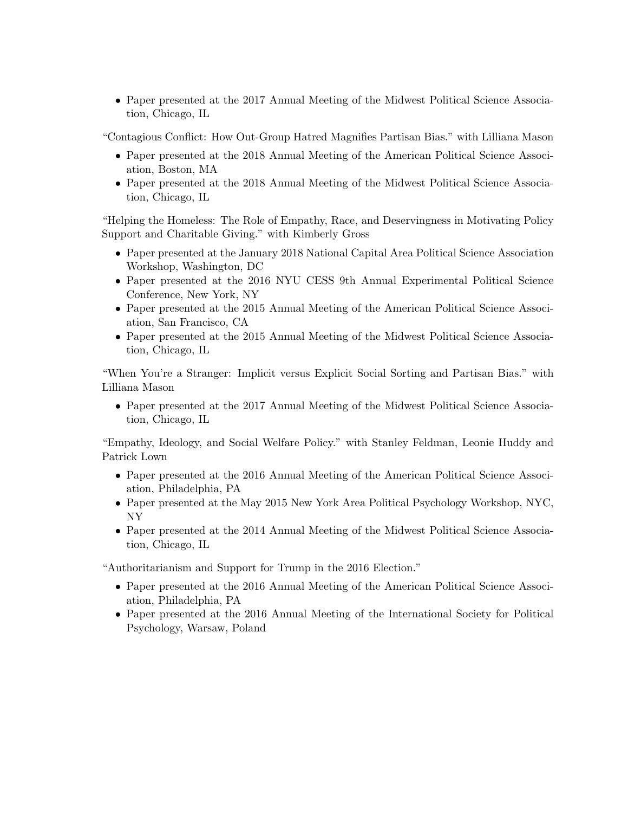• Paper presented at the 2017 Annual Meeting of the Midwest Political Science Association, Chicago, IL

"Contagious Conflict: How Out-Group Hatred Magnifies Partisan Bias." with Lilliana Mason

- Paper presented at the 2018 Annual Meeting of the American Political Science Association, Boston, MA
- Paper presented at the 2018 Annual Meeting of the Midwest Political Science Association, Chicago, IL

"Helping the Homeless: The Role of Empathy, Race, and Deservingness in Motivating Policy Support and Charitable Giving." with Kimberly Gross

- Paper presented at the January 2018 National Capital Area Political Science Association Workshop, Washington, DC
- Paper presented at the 2016 NYU CESS 9th Annual Experimental Political Science Conference, New York, NY
- Paper presented at the 2015 Annual Meeting of the American Political Science Association, San Francisco, CA
- Paper presented at the 2015 Annual Meeting of the Midwest Political Science Association, Chicago, IL

"When You're a Stranger: Implicit versus Explicit Social Sorting and Partisan Bias." with Lilliana Mason

• Paper presented at the 2017 Annual Meeting of the Midwest Political Science Association, Chicago, IL

"Empathy, Ideology, and Social Welfare Policy." with Stanley Feldman, Leonie Huddy and Patrick Lown

- Paper presented at the 2016 Annual Meeting of the American Political Science Association, Philadelphia, PA
- Paper presented at the May 2015 New York Area Political Psychology Workshop, NYC, NY
- Paper presented at the 2014 Annual Meeting of the Midwest Political Science Association, Chicago, IL

"Authoritarianism and Support for Trump in the 2016 Election."

- Paper presented at the 2016 Annual Meeting of the American Political Science Association, Philadelphia, PA
- Paper presented at the 2016 Annual Meeting of the International Society for Political Psychology, Warsaw, Poland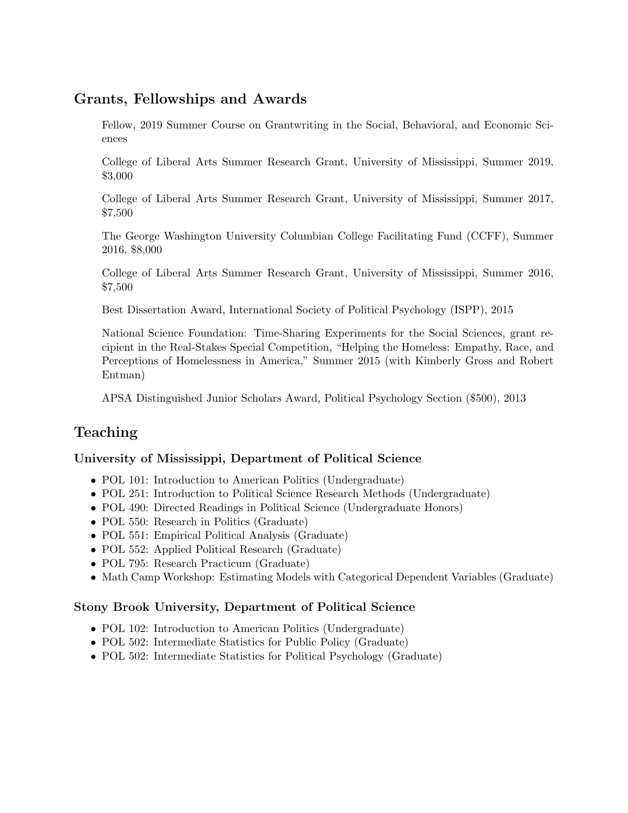# Grants, Fellowships and Awards

Fellow, 2019 Summer Course on Grantwriting in the Social, Behavioral, and Economic Sciences

College of Liberal Arts Summer Research Grant, University of Mississippi, Summer 2019, \$3,000

College of Liberal Arts Summer Research Grant, University of Mississippi, Summer 2017, \$7,500

The George Washington University Columbian College Facilitating Fund (CCFF), Summer 2016, \$8,000

College of Liberal Arts Summer Research Grant, University of Mississippi, Summer 2016, \$7,500

Best Dissertation Award, International Society of Political Psychology (ISPP), 2015

National Science Foundation: Time-Sharing Experiments for the Social Sciences, grant recipient in the Real-Stakes Special Competition, "Helping the Homeless: Empathy, Race, and Perceptions of Homelessness in America," Summer 2015 (with Kimberly Gross and Robert Entman)

APSA Distinguished Junior Scholars Award, Political Psychology Section (\$500), 2013

# Teaching

## University of Mississippi, Department of Political Science

- POL 101: Introduction to American Politics (Undergraduate)
- POL 251: Introduction to Political Science Research Methods (Undergraduate)
- POL 490: Directed Readings in Political Science (Undergraduate Honors)
- POL 550: Research in Politics (Graduate)
- POL 551: Empirical Political Analysis (Graduate)
- POL 552: Applied Political Research (Graduate)
- POL 795: Research Practicum (Graduate)
- Math Camp Workshop: Estimating Models with Categorical Dependent Variables (Graduate)

## Stony Brook University, Department of Political Science

- POL 102: Introduction to American Politics (Undergraduate)
- POL 502: Intermediate Statistics for Public Policy (Graduate)
- POL 502: Intermediate Statistics for Political Psychology (Graduate)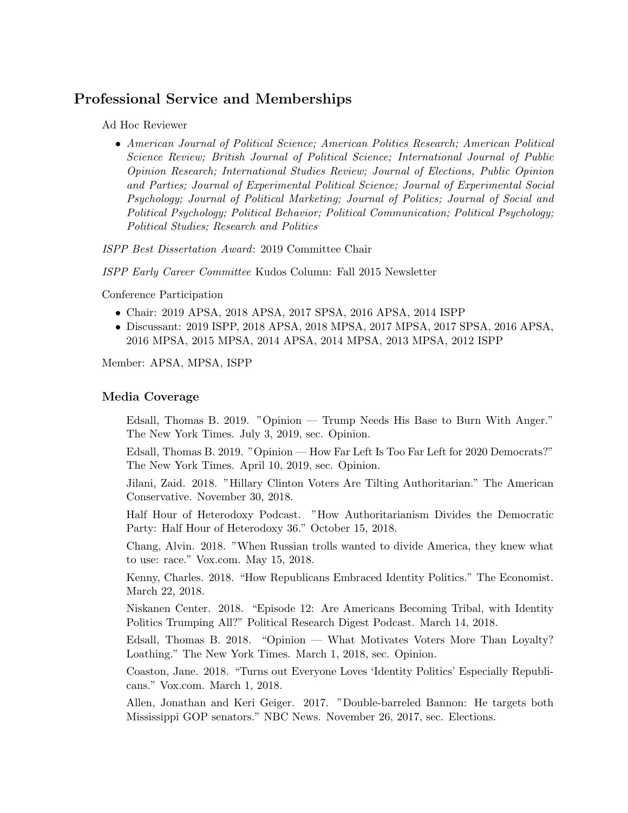## Professional Service and Memberships

Ad Hoc Reviewer

• American Journal of Political Science; American Politics Research; American Political Science Review; British Journal of Political Science; International Journal of Public Opinion Research; International Studies Review; Journal of Elections, Public Opinion and Parties; Journal of Experimental Political Science; Journal of Experimental Social Psychology; Journal of Political Marketing; Journal of Politics; Journal of Social and Political Psychology; Political Behavior; Political Communication; Political Psychology; Political Studies; Research and Politics

ISPP Best Dissertation Award: 2019 Committee Chair

ISPP Early Career Committee Kudos Column: Fall 2015 Newsletter

Conference Participation

- Chair: 2019 APSA, 2018 APSA, 2017 SPSA, 2016 APSA, 2014 ISPP
- Discussant: 2019 ISPP, 2018 APSA, 2018 MPSA, 2017 MPSA, 2017 SPSA, 2016 APSA, 2016 MPSA, 2015 MPSA, 2014 APSA, 2014 MPSA, 2013 MPSA, 2012 ISPP

Member: APSA, MPSA, ISPP

#### Media Coverage

Edsall, Thomas B. 2019. "Opinion — Trump Needs His Base to Burn With Anger." The New York Times. July 3, 2019, sec. Opinion.

Edsall, Thomas B. 2019. "Opinion — How Far Left Is Too Far Left for 2020 Democrats?" The New York Times. April 10, 2019, sec. Opinion.

Jilani, Zaid. 2018. "Hillary Clinton Voters Are Tilting Authoritarian." The American Conservative. November 30, 2018.

Half Hour of Heterodoxy Podcast. "How Authoritarianism Divides the Democratic Party: Half Hour of Heterodoxy 36." October 15, 2018.

Chang, Alvin. 2018. "When Russian trolls wanted to divide America, they knew what to use: race." Vox.com. May 15, 2018.

Kenny, Charles. 2018. "How Republicans Embraced Identity Politics." The Economist. March 22, 2018.

Niskanen Center. 2018. "Episode 12: Are Americans Becoming Tribal, with Identity Politics Trumping All?" Political Research Digest Podcast. March 14, 2018.

Edsall, Thomas B. 2018. "Opinion — What Motivates Voters More Than Loyalty? Loathing." The New York Times. March 1, 2018, sec. Opinion.

Coaston, Jane. 2018. "Turns out Everyone Loves 'Identity Politics' Especially Republicans." Vox.com. March 1, 2018.

Allen, Jonathan and Keri Geiger. 2017. "Double-barreled Bannon: He targets both Mississippi GOP senators." NBC News. November 26, 2017, sec. Elections.